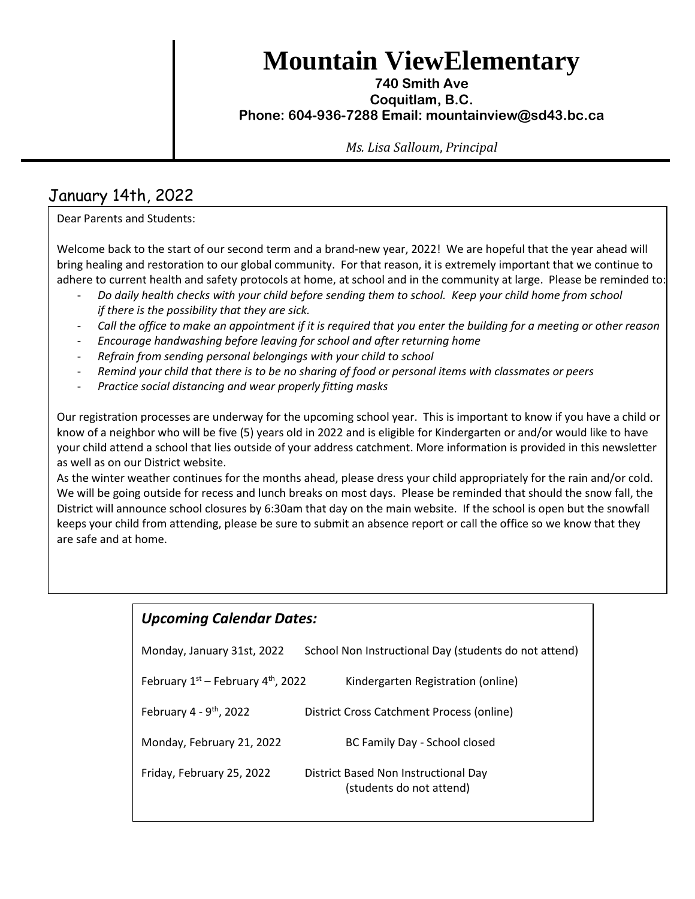**Mountain ViewElementary**

## **740 Smith Ave Coquitlam, B.C. Phone: 604-936-7288 Email: mountainview@sd43.bc.ca**

*Ms. Lisa Salloum*, *Principal*

# January 14th, 2022

Dear Parents and Students:

Welcome back to the start of our second term and a brand-new year, 2022! We are hopeful that the year ahead will bring healing and restoration to our global community. For that reason, it is extremely important that we continue to adhere to current health and safety protocols at home, at school and in the community at large. Please be reminded to:

- *Do daily health checks with your child before sending them to school. Keep your child home from school if there is the possibility that they are sick.*
- *Call the office to make an appointment if it is required that you enter the building for a meeting or other reason*
- *Encourage handwashing before leaving for school and after returning home*
- *Refrain from sending personal belongings with your child to school*
- *Remind your child that there is to be no sharing of food or personal items with classmates or peers*
- *Practice social distancing and wear properly fitting masks*

Our registration processes are underway for the upcoming school year. This is important to know if you have a child or know of a neighbor who will be five (5) years old in 2022 and is eligible for Kindergarten or and/or would like to have your child attend a school that lies outside of your address catchment. More information is provided in this newsletter as well as on our District website.

As the winter weather continues for the months ahead, please dress your child appropriately for the rain and/or cold. We will be going outside for recess and lunch breaks on most days. Please be reminded that should the snow fall, the District will announce school closures by 6:30am that day on the main website. If the school is open but the snowfall keeps your child from attending, please be sure to submit an absence report or call the office so we know that they are safe and at home.

# *Upcoming Calendar Dates:*

| Monday, January 31st, 2022             | School Non Instructional Day (students do not attend)            |
|----------------------------------------|------------------------------------------------------------------|
| February $1st$ – February $4th$ , 2022 | Kindergarten Registration (online)                               |
| February $4 - 9$ <sup>th</sup> , 2022  | District Cross Catchment Process (online)                        |
| Monday, February 21, 2022              | BC Family Day - School closed                                    |
| Friday, February 25, 2022              | District Based Non Instructional Day<br>(students do not attend) |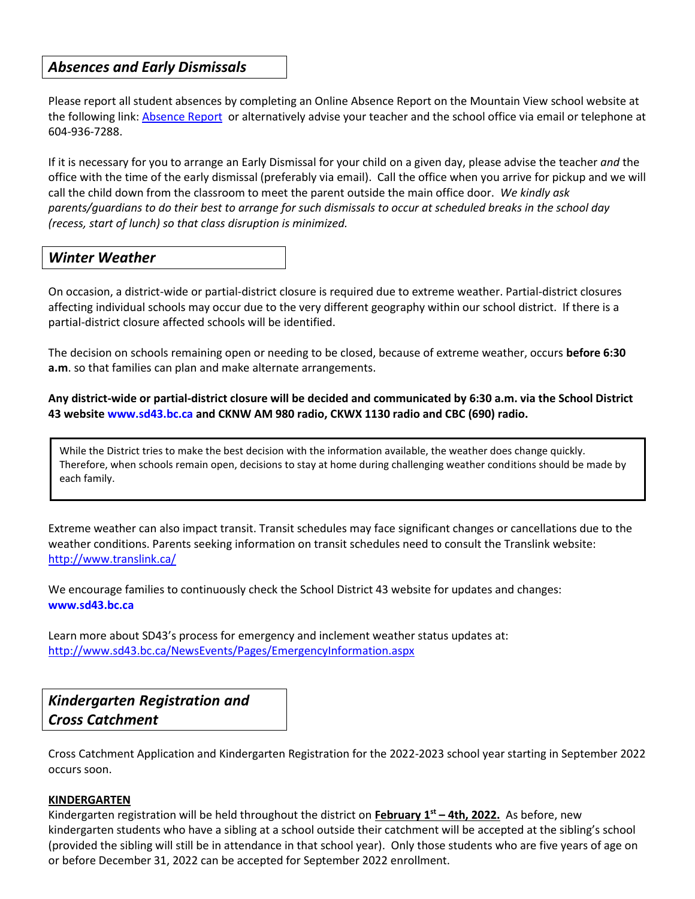# *Absences and Early Dismissals*

Please report all student absences by completing an Online Absence Report on the Mountain View school website at the following link: [Absence Report](https://www2016.sd43.bc.ca/eforms/_layouts/15/FormServer.aspx?XsnLocation=http://www2016.sd43.bc.ca/eforms/AbsenceReportForm/Forms/template.xsn&OpenIn=browser&SaveLocation=http://www2016.sd43.bc.ca/eforms/AbsenceReportForm&Source=http://www2016.sd43.bc.ca/eforms/AbsenceReportForm) or alternatively advise your teacher and the school office via email or telephone at 604-936-7288.

If it is necessary for you to arrange an Early Dismissal for your child on a given day, please advise the teacher *and* the office with the time of the early dismissal (preferably via email). Call the office when you arrive for pickup and we will call the child down from the classroom to meet the parent outside the main office door. *We kindly ask parents/guardians to do their best to arrange for such dismissals to occur at scheduled breaks in the school day (recess, start of lunch) so that class disruption is minimized.*

## *Winter Weather*

On occasion, a district-wide or partial-district closure is required due to extreme weather. Partial-district closures affecting individual schools may occur due to the very different geography within our school district. If there is a partial-district closure affected schools will be identified.

The decision on schools remaining open or needing to be closed, because of extreme weather, occurs **before 6:30 a.m**. so that families can plan and make alternate arrangements.

**Any district-wide or partial-district closure will be decided and communicated by 6:30 a.m. via the School District 43 website www.sd43.bc.ca and CKNW AM 980 radio, CKWX 1130 radio and CBC (690) radio.** 

While the District tries to make the best decision with the information available, the weather does change quickly. Therefore, when schools remain open, decisions to stay at home during challenging weather conditions should be made by each family.

Extreme weather can also impact transit. Transit schedules may face significant changes or cancellations due to the weather conditions. Parents seeking information on transit schedules need to consult the Translink website: <http://www.translink.ca/>

We encourage families to continuously check the School District 43 website for updates and changes: **www.sd43.bc.ca**

Learn more about SD43's process for emergency and inclement weather status updates at: <http://www.sd43.bc.ca/NewsEvents/Pages/EmergencyInformation.aspx>

*Kindergarten Registration and Cross Catchment*

Cross Catchment Application and Kindergarten Registration for the 2022-2023 school year starting in September 2022 occurs soon.

#### **KINDERGARTEN**

Kindergarten registration will be held throughout the district on **February 1 st – 4th, 2022.** As before, new kindergarten students who have a sibling at a school outside their catchment will be accepted at the sibling's school (provided the sibling will still be in attendance in that school year). Only those students who are five years of age on or before December 31, 2022 can be accepted for September 2022 enrollment.